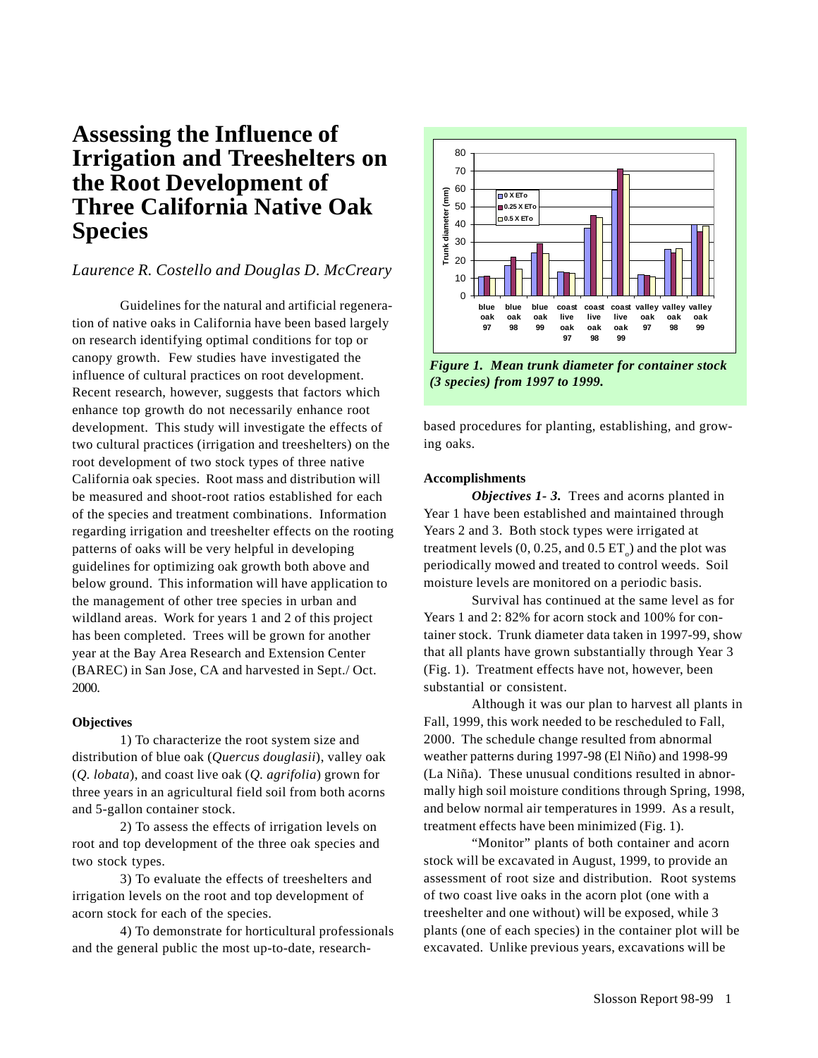## **Assessing the Influence of Irrigation and Treeshelters on the Root Development of Three California Native Oak Species**

## *Laurence R. Costello and Douglas D. McCreary*

Guidelines for the natural and artificial regeneration of native oaks in California have been based largely on research identifying optimal conditions for top or canopy growth. Few studies have investigated the influence of cultural practices on root development. Recent research, however, suggests that factors which enhance top growth do not necessarily enhance root development. This study will investigate the effects of two cultural practices (irrigation and treeshelters) on the root development of two stock types of three native California oak species. Root mass and distribution will be measured and shoot-root ratios established for each of the species and treatment combinations. Information regarding irrigation and treeshelter effects on the rooting patterns of oaks will be very helpful in developing guidelines for optimizing oak growth both above and below ground. This information will have application to the management of other tree species in urban and wildland areas. Work for years 1 and 2 of this project has been completed. Trees will be grown for another year at the Bay Area Research and Extension Center (BAREC) in San Jose, CA and harvested in Sept./ Oct. 2000.

## **Objectives**

1) To characterize the root system size and distribution of blue oak (*Quercus douglasii*), valley oak (*Q. lobata*), and coast live oak (*Q. agrifolia*) grown for three years in an agricultural field soil from both acorns and 5-gallon container stock.

2) To assess the effects of irrigation levels on root and top development of the three oak species and two stock types.

3) To evaluate the effects of treeshelters and irrigation levels on the root and top development of acorn stock for each of the species.

4) To demonstrate for horticultural professionals and the general public the most up-to-date, research-



*Figure 1. Mean trunk diameter for container stock (3 species) from 1997 to 1999.*

based procedures for planting, establishing, and growing oaks.

## **Accomplishments**

*Objectives 1- 3.* Trees and acorns planted in Year 1 have been established and maintained through Years 2 and 3. Both stock types were irrigated at treatment levels  $(0, 0.25, \text{and } 0.5 \text{ ET}_{\circ})$  and the plot was periodically mowed and treated to control weeds. Soil moisture levels are monitored on a periodic basis.

Survival has continued at the same level as for Years 1 and 2: 82% for acorn stock and 100% for container stock. Trunk diameter data taken in 1997-99, show that all plants have grown substantially through Year 3 (Fig. 1). Treatment effects have not, however, been substantial or consistent.

Although it was our plan to harvest all plants in Fall, 1999, this work needed to be rescheduled to Fall, 2000. The schedule change resulted from abnormal weather patterns during 1997-98 (El Niño) and 1998-99 (La Niña). These unusual conditions resulted in abnormally high soil moisture conditions through Spring, 1998, and below normal air temperatures in 1999. As a result, treatment effects have been minimized (Fig. 1).

"Monitor" plants of both container and acorn stock will be excavated in August, 1999, to provide an assessment of root size and distribution. Root systems of two coast live oaks in the acorn plot (one with a treeshelter and one without) will be exposed, while 3 plants (one of each species) in the container plot will be excavated. Unlike previous years, excavations will be